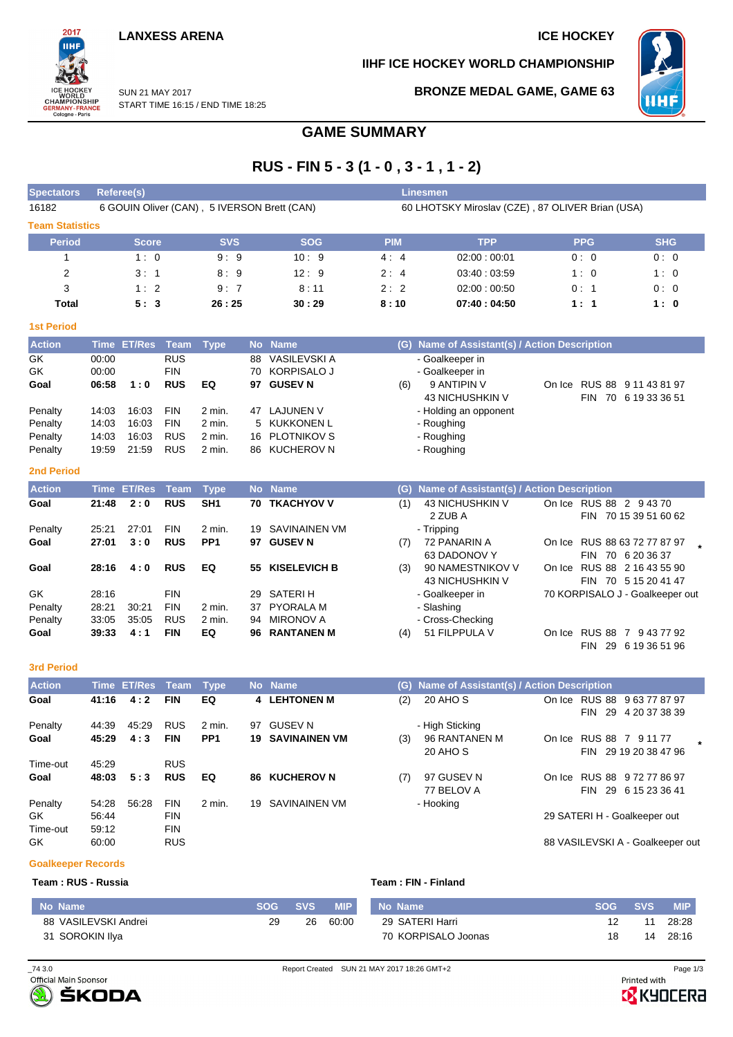## **LANXESS ARENA ICE HOCKEY**

## **IIHF ICE HOCKEY WORLD CHAMPIONSHIP**



SUN 21 MAY 2017

# **BRONZE MEDAL GAME, GAME 63**

START TIME 16:15 / END TIME 18:25

# **GAME SUMMARY**

# **RUS - FIN 5 - 3 (1 - 0 , 3 - 1 , 1 - 2)**

| <b>Spectators</b>      | Referee(s)                                  |            |            |            | Linesmen                                         |            |            |  |  |  |  |  |  |  |
|------------------------|---------------------------------------------|------------|------------|------------|--------------------------------------------------|------------|------------|--|--|--|--|--|--|--|
| 16182                  | 6 GOUIN Oliver (CAN), 5 IVERSON Brett (CAN) |            |            |            | 60 LHOTSKY Miroslav (CZE), 87 OLIVER Brian (USA) |            |            |  |  |  |  |  |  |  |
| <b>Team Statistics</b> |                                             |            |            |            |                                                  |            |            |  |  |  |  |  |  |  |
| <b>Period</b>          | <b>Score</b>                                | <b>SVS</b> | <b>SOG</b> | <b>PIM</b> | <b>TPP</b>                                       | <b>PPG</b> | <b>SHG</b> |  |  |  |  |  |  |  |
|                        | 1:0                                         | 9:9        | 10:9       | 4:4        | 02:00:00:01                                      | 0:0        | 0:0        |  |  |  |  |  |  |  |
| 2                      | 3:1                                         | 8:9        | 12:9       | 2:4        | 03.40:03.59                                      | 1:0        | 1:0        |  |  |  |  |  |  |  |
| 3                      | 1:2                                         | 9:7        | 8:11       | 2:2        | 02:00:00:50                                      | 0:1        | 0:0        |  |  |  |  |  |  |  |
| Total                  | 5:3                                         | 26:25      | 30:29      | 8:10       | 07:40:04:50                                      | 1:1        | 1:0        |  |  |  |  |  |  |  |

| ۳    |                               |      |
|------|-------------------------------|------|
| ____ | and the state of the state of | ---- |

2017

WORLD<br>CHAMPIONSHIP<br>GERMANY-FRANCE<br>Cologne - Paris

| <b>Action</b> |       | Time ET/Res Team Type |            |          |    | No Name        |     | (G) Name of Assistant(s) / Action Description |        |      |                      |
|---------------|-------|-----------------------|------------|----------|----|----------------|-----|-----------------------------------------------|--------|------|----------------------|
| GK            | 00:00 |                       | <b>RUS</b> |          | 88 | VASILEVSKI A   |     | - Goalkeeper in                               |        |      |                      |
| GK            | 00:00 |                       | <b>FIN</b> |          |    | 70 KORPISALO J |     | - Goalkeeper in                               |        |      |                      |
| Goal          | 06:58 | 1:0                   | <b>RUS</b> | EQ       | 97 | <b>GUSEV N</b> | (6) | 9 ANTIPIN V                                   | On Ice |      | RUS 88 9 11 43 81 97 |
|               |       |                       |            |          |    |                |     | 43 NICHUSHKIN V                               |        | FIN. | 70 6 19 33 36 51     |
| Penalty       | 14:03 | 16:03                 | <b>FIN</b> | 2 min.   | 47 | LAJUNEN V      |     | - Holding an opponent                         |        |      |                      |
| Penalty       | 14:03 | 16:03                 | <b>FIN</b> | 2 min.   |    | 5 KUKKONEN L   |     | - Roughing                                    |        |      |                      |
| Penalty       | 14:03 | 16:03                 | <b>RUS</b> | 2 min.   |    | 16 PLOTNIKOV S |     | - Roughing                                    |        |      |                      |
| Penalty       | 19:59 | 21:59                 | <b>RUS</b> | $2$ min. |    | 86 KUCHEROV N  |     | - Roughing                                    |        |      |                      |
|               |       |                       |            |          |    |                |     |                                               |        |      |                      |

### **2nd Period**

| <b>Action</b> |       | Time ET/Res Team |            | Type            |     | No Name              | (G) | <b>Name of Assistant(s) / Action Description</b> |        |                                                             |
|---------------|-------|------------------|------------|-----------------|-----|----------------------|-----|--------------------------------------------------|--------|-------------------------------------------------------------|
| Goal          | 21:48 | 2:0              | <b>RUS</b> | SH <sub>1</sub> |     | <b>70 TKACHYOV V</b> | (1) | 43 NICHUSHKIN V<br>2 ZUB A                       |        | On Ice RUS 88 2 9 43 70<br>70 15 39 51 60 62<br><b>FIN</b>  |
| Penalty       | 25.21 | 27:01            | <b>FIN</b> | 2 min.          |     | 19 SAVINAINEN VM     |     | - Tripping                                       |        |                                                             |
| Goal          | 27:01 | 3:0              | <b>RUS</b> | PP <sub>1</sub> | 97  | <b>GUSEV N</b>       | (7) | 72 PANARIN A<br>63 DADONOV Y                     |        | On Ice RUS 88 63 72 77 87 97<br>70 6 20 36 37<br><b>FIN</b> |
| Goal          | 28:16 | 4:0              | <b>RUS</b> | EQ              |     | 55 KISELEVICH B      | (3) | 90 NAMESTNIKOV V<br>43 NICHUSHKIN V              | On Ice | RUS 88 2 16 43 55 90<br><b>FIN</b><br>70 5 15 20 41 47      |
| GK.           | 28:16 |                  | <b>FIN</b> |                 |     | 29 SATERIH           |     | - Goalkeeper in                                  |        | 70 KORPISALO J - Goalkeeper out                             |
| Penalty       | 28:21 | 30:21            | <b>FIN</b> | 2 min.          |     | 37 PYORALA M         |     | - Slashing                                       |        |                                                             |
| Penalty       | 33:05 | 35:05            | <b>RUS</b> | 2 min.          | 94  | MIRONOV A            |     | - Cross-Checking                                 |        |                                                             |
| Goal          | 39:33 | 4:1              | <b>FIN</b> | EQ              | 96. | <b>RANTANEN M</b>    | (4) | 51 FILPPULA V                                    |        | On Ice RUS 88 7 9 43 77 92<br>29<br>6 19 36 51 96<br>FIN    |

### **3rd Period**

| <b>Action</b> |       | Time ET/Res Team Type |            |                 |     | No Name                 |     | (G) Name of Assistant(s) / Action Description |        |            |                                  |  |
|---------------|-------|-----------------------|------------|-----------------|-----|-------------------------|-----|-----------------------------------------------|--------|------------|----------------------------------|--|
| Goal          | 41:16 | 4:2                   | <b>FIN</b> | EQ              |     | 4 LEHTONEN M            | (2) | 20 AHO S                                      |        |            | On Ice RUS 88 9 63 77 87 97      |  |
|               |       |                       |            |                 |     |                         |     |                                               |        | FIN        | 29 4 20 37 38 39                 |  |
| Penalty       | 44:39 | 45.29                 | <b>RUS</b> | 2 min.          | 97  | <b>GUSEV N</b>          |     | - High Sticking                               |        |            |                                  |  |
| Goal          | 45:29 | 4:3                   | <b>FIN</b> | PP <sub>1</sub> |     | <b>19 SAVINAINEN VM</b> | (3) | 96 RANTANEN M                                 | On Ice |            | RUS 88 7 9 11 77                 |  |
|               |       |                       |            |                 |     |                         |     | 20 AHO S                                      |        |            | FIN 29 19 20 38 47 96            |  |
| Time-out      | 45.29 |                       | <b>RUS</b> |                 |     |                         |     |                                               |        |            |                                  |  |
| Goal          | 48:03 | 5:3                   | <b>RUS</b> | EQ              | 86. | <b>KUCHEROV N</b>       | (7) | 97 GUSEV N                                    | On Ice |            | RUS 88 9 72 77 86 97             |  |
|               |       |                       |            |                 |     |                         |     | 77 BELOV A                                    |        | 29<br>FIN. | 6 15 23 36 41                    |  |
| Penalty       | 54:28 | 56.28                 | <b>FIN</b> | 2 min.          | 19  | SAVINAINEN VM           |     | - Hooking                                     |        |            |                                  |  |
| GK.           | 56:44 |                       | <b>FIN</b> |                 |     |                         |     |                                               |        |            | 29 SATERI H - Goalkeeper out     |  |
| Time-out      | 59:12 |                       | <b>FIN</b> |                 |     |                         |     |                                               |        |            |                                  |  |
| GK            | 60:00 |                       | <b>RUS</b> |                 |     |                         |     |                                               |        |            | 88 VASILEVSKI A - Goalkeeper out |  |

### **Goalkeeper Records**

I

| Team: RUS - Russia | Team: FIN - Finland |
|--------------------|---------------------|
|                    |                     |

| No Name              |    | SOG SVS | MIP I | No Name             | <b>SOG</b> | <b>SVS</b> | <b>MIP</b> |
|----------------------|----|---------|-------|---------------------|------------|------------|------------|
| 88 VASILEVSKI Andrei | 29 | 26      | 60:00 | 29 SATERI Harri     |            |            | 28:28      |
| 31 SOROKIN Ilya      |    |         |       | 70 KORPISALO Joonas |            | 14         | 28:16      |



**B** KYOCERA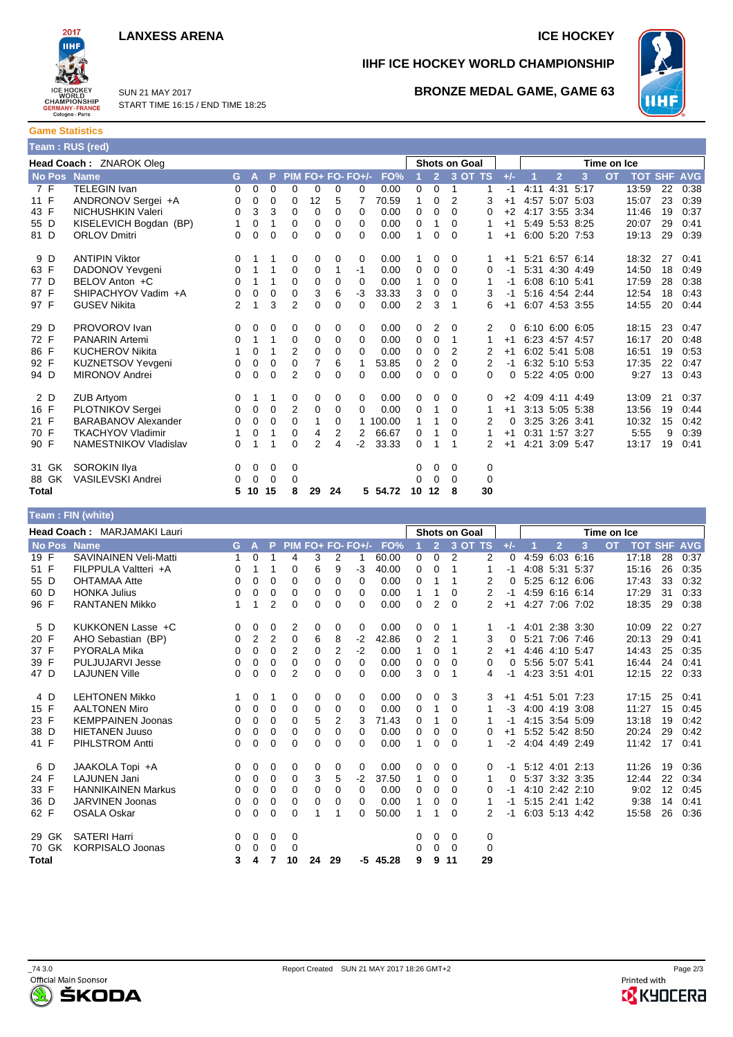



**Game Statistics Team : RUS (red)**

SUN 21 MAY 2017

# **IIHF ICE HOCKEY WORLD CHAMPIONSHIP**



START TIME 16:15 / END TIME 18:25

## **BRONZE MEDAL GAME, GAME 63**

|      | ---- |
|------|------|
| 11 F | AND  |
| 43 F | NICI |

| <b>Total</b> |       |                            | 5 | 10 | 15       | 8              | 29       | 24       |          | 5 54.72  | 10             | 12 | 8        | 30 |      |                |                |                |       |    |      |
|--------------|-------|----------------------------|---|----|----------|----------------|----------|----------|----------|----------|----------------|----|----------|----|------|----------------|----------------|----------------|-------|----|------|
|              | 88 GK | VASILEVSKI Andrei          | 0 | 0  | 0        | 0              |          |          |          |          | 0              | 0  | $\Omega$ | 0  |      |                |                |                |       |    |      |
|              | 31 GK | SOROKIN Ilya               | 0 | 0  | 0        | 0              |          |          |          |          | 0              | 0  | 0        | 0  |      |                |                |                |       |    |      |
| 90 F         |       | NAMESTNIKOV Vladislav      | 0 |    | 1        | $\Omega$       | 2        | 4        | $-2$     | 33.33    | 0              |    | 1        |    | $+1$ |                | 4:21 3:09 5:47 |                | 13:17 | 19 | 0:41 |
| 70 F         |       | <b>TKACHYOV Vladimir</b>   |   | 0  | 1        | 0              | 4        | 2        | 2        | 66.67    | 0              | 1  | 0        |    | $+1$ |                |                | 0:31 1:57 3:27 | 5:55  | 9  | 0:39 |
| 21 F         |       | <b>BARABANOV Alexander</b> | 0 | 0  | 0        | $\Omega$       |          | 0        |          | 1 100.00 | 1              |    | 0        | 2  | 0    |                | 3:25 3:26 3:41 |                | 10:32 | 15 | 0:42 |
| 16 F         |       | <b>PLOTNIKOV Sergei</b>    | 0 | 0  | 0        | 2              | 0        | 0        | $\Omega$ | 0.00     | 0              | 1  | 0        |    | $+1$ |                | 3:13 5:05 5:38 |                | 13:56 | 19 | 0:44 |
|              | 2 D   | ZUB Artyom                 | 0 |    |          | 0              | 0        | 0        | 0        | 0.00     | 0              | 0  | 0        | 0  | $+2$ |                | 4:09 4:11      | 4:49           | 13:09 | 21 | 0:37 |
| 94 D         |       | MIRONOV Andrei             | 0 | 0  | 0        | 2              | $\Omega$ | $\Omega$ | $\Omega$ | 0.00     | 0              | 0  | 0        | 0  | 0    | 5:22 4:05 0:00 |                |                | 9:27  | 13 | 0:43 |
| 92 F         |       | <b>KUZNETSOV Yevgeni</b>   | 0 | 0  | 0        | 0              | 7        | 6        |          | 53.85    | 0              | 2  | 0        | 2  | -1   |                |                | 6:32 5:10 5:53 | 17:35 | 22 | 0:47 |
| 86 F         |       | <b>KUCHEROV Nikita</b>     |   | 0  | 1        | 2              | 0        | $\Omega$ | $\Omega$ | 0.00     | 0              | 0  | 2        | 2  | $+1$ |                | 6:02 5:41      | 5:08           | 16:51 | 19 | 0:53 |
| 72 F         |       | <b>PANARIN Artemi</b>      | 0 |    | 1        | $\Omega$       | 0        | $\Omega$ | $\Omega$ | 0.00     | 0              | 0  |          |    | $+1$ |                | 6:23 4:57 4:57 |                | 16:17 | 20 | 0:48 |
| 29 D         |       | PROVOROV Ivan              | 0 | 0  | 0        | 0              | 0        | 0        | $\Omega$ | 0.00     | 0              | 2  | 0        | 2  | 0    |                | 6:10 6:00 6:05 |                | 18:15 | 23 | 0:47 |
| 97 F         |       | <b>GUSEV Nikita</b>        | 2 | 1  | 3        | $\overline{2}$ | 0        | $\Omega$ | 0        | 0.00     | $\overline{2}$ | 3  | 1        | 6  | $+1$ |                | 6:07 4:53 3:55 |                | 14:55 | 20 | 0:44 |
| 87 F         |       | SHIPACHYOV Vadim +A        | 0 | 0  | $\Omega$ | $\Omega$       | 3        | 6        | $-3$     | 33.33    | 3              | 0  | 0        | 3  | -1   |                | 5:16 4:54 2:44 |                | 12:54 | 18 | 0:43 |
| 77 D         |       | BELOV Anton +C             | 0 | 1  | 1        | $\Omega$       | 0        | 0        | $\Omega$ | 0.00     | 1              | 0  | 0        |    | -1   |                | 6:08 6:10 5:41 |                | 17:59 | 28 | 0:38 |
| 63 F         |       | DADONOV Yevgeni            | 0 |    | 1        | 0              | 0        | 1        | $-1$     | 0.00     | 0              | 0  | 0        | 0  | $-1$ |                | 5:31 4:30 4:49 |                | 14:50 | 18 | 0:49 |
|              | 9 D   | <b>ANTIPIN Viktor</b>      | 0 |    | 1        | 0              | 0        | 0        | 0        | 0.00     |                | 0  | 0        |    | $+1$ |                | 5:21 6:57 6:14 |                | 18:32 | 27 | 0:41 |
| 81 D         |       | <b>ORLOV Dmitri</b>        | 0 | 0  | 0        | $\Omega$       | $\Omega$ | $\Omega$ | $\Omega$ | 0.00     | 1              | 0  | 0        |    | $+1$ |                |                | 6:00 5:20 7:53 | 19:13 | 29 | 0:39 |
| 55 D         |       | KISELEVICH Bogdan (BP)     | 1 | 0  | 1        | 0              | 0        | 0        | $\Omega$ | 0.00     | 0              | 1  | 0        |    | $+1$ |                |                | 5:49 5:53 8:25 | 20:07 | 29 | 0:41 |
| 43 F         |       | NICHUSHKIN Valeri          | 0 | 3  | 3        | 0              | 0        | $\Omega$ | $\Omega$ | 0.00     | 0              | 0  | 0        | 0  | $+2$ |                | 4:17 3:55 3:34 |                | 11:46 | 19 | 0:37 |
| 11 F         |       | ANDRONOV Sergei +A         | 0 | 0  | 0        | 0              | 12       | 5        |          | 70.59    | 1              | 0  | 2        | 3  | $+1$ |                | 4:57 5:07 5:03 |                | 15:07 | 23 | 0:39 |
|              | 7 F   | TELEGIN Ivan               | 0 | 0  | 0        | $\Omega$       | 0        | $\Omega$ | 0        | 0.00     | 0              | 0  |          |    |      |                | 4:11 4:31      | 5:17           | 13:59 | 22 | 0:38 |

**Head Coach :** ZNAROK Oleg **Shots on Goal Time on Ice**

No Pos Name<br>
G A P PIM FO+ FO- FO+/- FO% 1 2 3 OT TS +/- 1 2 3 OT TOT SHF AVG

|             | Team : FIN (white)                 |    |                |                |                |    |                |                   |            |             |                |                |                |       |      |                |      |             |                |    |            |
|-------------|------------------------------------|----|----------------|----------------|----------------|----|----------------|-------------------|------------|-------------|----------------|----------------|----------------|-------|------|----------------|------|-------------|----------------|----|------------|
|             | <b>Head Coach: MARJAMAKI Lauri</b> |    |                |                |                |    |                |                   |            |             |                | Shots on Goal  |                |       |      |                |      | Time on Ice |                |    |            |
| No Pos Name |                                    | G. | A              | P              |                |    |                | PIM FO+ FO- FO+/- | FO%        |             | $\overline{2}$ | 3 OT TS        |                | $+/-$ |      | $\overline{2}$ | 3    | <b>OT</b>   | <b>TOT SHF</b> |    | <b>AVG</b> |
| 19 F        | <b>SAVINAINEN Veli-Matti</b>       | 1  | 0              |                | 4              | 3  | $\overline{2}$ |                   | 60.00      | 0           | $\mathbf 0$    | $\overline{2}$ | $\overline{2}$ | 0     | 4:59 | 6:03           | 6:16 |             | 17:18          | 28 | 0:37       |
| 51 F        | FILPPULA Valtteri +A               | 0  | 1              | 1              | 0              | 6  | 9              | $-3$              | 40.00      | 0           | $\Omega$       | 1              | 1              | -1    |      | 4:08 5:31 5:37 |      |             | 15:16          | 26 | 0:35       |
| 55 D        | <b>OHTAMAA Atte</b>                | 0  | 0              | $\Omega$       | 0              | 0  | 0              | 0                 | 0.00       | 0           | 1              |                | 2              | 0     |      | 5:25 6:12 6:06 |      |             | 17:43          | 33 | 0:32       |
| 60 D        | <b>HONKA Julius</b>                | 0  | 0              | 0              | 0              | 0  | 0              | 0                 | 0.00       | 1           |                | 0              | $\overline{2}$ | -1    |      | 4:59 6:16 6:14 |      |             | 17:29          | 31 | 0:33       |
| 96 F        | <b>RANTANEN Mikko</b>              | 1  | 1              | $\overline{2}$ | $\Omega$       | 0  | $\Omega$       | 0                 | 0.00       | $\Omega$    | $\overline{2}$ | $\Omega$       | 2              | $+1$  |      | 4:27 7:06 7:02 |      |             | 18:35          | 29 | 0:38       |
| 5 D         | KUKKONEN Lasse +C                  | 0  | 0              | 0              | 2              | 0  | 0              | 0                 | 0.00       | 0           | 0              | 1              | 1              | -1    |      | 4:01 2:38 3:30 |      |             | 10:09          | 22 | 0:27       |
| 20 F        | AHO Sebastian (BP)                 | 0  | $\overline{2}$ | $\overline{2}$ | 0              | 6  | 8              | $-2$              | 42.86      | 0           | 2              | 1              | 3              | 0     |      | 5:21 7:06 7:46 |      |             | 20:13          | 29 | 0:41       |
| 37 F        | <b>PYORALA Mika</b>                | 0  | 0              | 0              | $\overline{2}$ | 0  | $\overline{2}$ | $-2$              | 0.00       | 1           | 0              | 1              | 2              | $+1$  |      | 4:46 4:10 5:47 |      |             | 14:43          | 25 | 0:35       |
| 39 F        | <b>PULJUJARVI Jesse</b>            | 0  | 0              | 0              | 0              | 0  | 0              | 0                 | 0.00       | 0           | 0              | $\Omega$       | 0              | 0     |      | 5:56 5:07 5:41 |      |             | 16:44          | 24 | 0:41       |
| 47 D        | <b>LAJUNEN Ville</b>               | 0  | 0              | 0              | 2              | 0  | 0              | 0                 | 0.00       | 3           | 0              | 1              | 4              | -1    |      | 4:23 3:51 4:01 |      |             | 12:15          | 22 | 0:33       |
| 4 D         | <b>LEHTONEN Mikko</b>              |    | 0              | 1              | 0              | 0  | 0              | 0                 | 0.00       | 0           | 0              | 3              | 3              | $+1$  |      | 4:51 5:01 7:23 |      |             | 17:15          | 25 | 0:41       |
| 15 F        | <b>AALTONEN Miro</b>               | 0  | 0              | 0              | 0              | 0  | 0              | 0                 | 0.00       | 0           | 1              | 0              |                | $-3$  |      | 4:00 4:19 3:08 |      |             | 11:27          | 15 | 0:45       |
| 23 F        | <b>KEMPPAINEN Joonas</b>           | 0  | 0              | 0              | 0              | 5  | 2              | 3                 | 71.43      | $\mathbf 0$ | 1              | 0              |                | -1    |      | 4:15 3:54 5:09 |      |             | 13:18          | 19 | 0:42       |
| 38 D        | <b>HIETANEN Juuso</b>              | 0  | 0              | 0              | 0              | 0  | 0              | 0                 | 0.00       | 0           | 0              | 0              | 0              | $+1$  |      | 5:52 5:42 8:50 |      |             | 20:24          | 29 | 0:42       |
| 41 F        | <b>PIHLSTROM Antti</b>             | 0  | 0              | 0              | 0              | 0  | $\Omega$       | 0                 | 0.00       | 1           | $\mathbf 0$    | $\Omega$       |                | $-2$  |      | 4:04 4:49 2:49 |      |             | 11:42          | 17 | 0:41       |
| 6 D         | JAAKOLA Topi +A                    | 0  | 0              | 0              | 0              | 0  | 0              | 0                 | 0.00       | 0           | 0              | 0              | 0              | -1    |      | 5:12 4:01      | 2:13 |             | 11:26          | 19 | 0:36       |
| 24 F        | <b>LAJUNEN Jani</b>                | 0  | 0              | 0              | 0              | 3  | 5              | $-2$              | 37.50      | 1           | 0              | 0              | 1              | 0     |      | 5:37 3:32 3:35 |      |             | 12:44          | 22 | 0:34       |
| 33 F        | <b>HANNIKAINEN Markus</b>          | 0  | 0              | 0              | 0              | 0  | $\Omega$       | $\Omega$          | 0.00       | 0           | $\mathbf 0$    | 0              | 0              | -1    |      | 4:10 2:42 2:10 |      |             | 9:02           | 12 | 0:45       |
| 36 D        | <b>JARVINEN Joonas</b>             | 0  | 0              | $\mathbf 0$    | 0              | 0  | 0              | 0                 | 0.00       | 1           | 0              | 0              |                | -1    |      | 5:15 2:41 1:42 |      |             | 9:38           | 14 | 0:41       |
| 62 F        | <b>OSALA Oskar</b>                 | 0  | 0              | 0              | $\Omega$       | 1  | 1              | 0                 | 50.00      | 1           | 1              | 0              | 2              | -1    |      | 6:03 5:13 4:42 |      |             | 15:58          | 26 | 0:36       |
| 29 GK       | <b>SATERI Harri</b>                | 0  | 0              | 0              | 0              |    |                |                   |            | 0           | 0              | 0              | 0              |       |      |                |      |             |                |    |            |
| 70 GK       | <b>KORPISALO Joonas</b>            | 0  | 0              | 0              | 0              |    |                |                   |            | 0           | 0              | $\Omega$       | 0              |       |      |                |      |             |                |    |            |
| Total       |                                    | 3  | 4              | 7              | 10             | 24 | 29             |                   | $-5$ 45.28 | 9           | 9              | 11             | 29             |       |      |                |      |             |                |    |            |